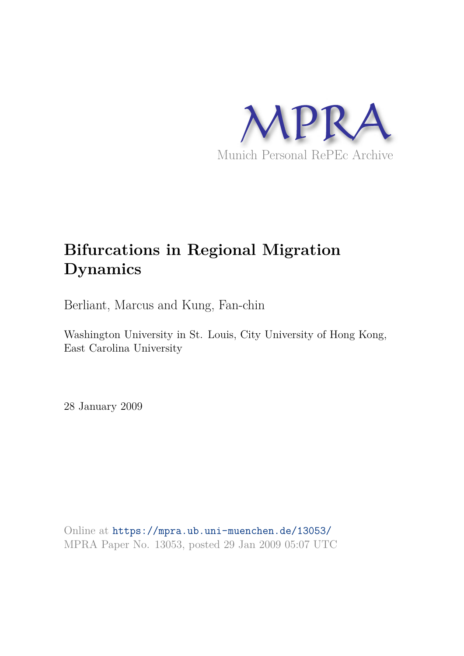

# **Bifurcations in Regional Migration Dynamics**

Berliant, Marcus and Kung, Fan-chin

Washington University in St. Louis, City University of Hong Kong, East Carolina University

28 January 2009

Online at https://mpra.ub.uni-muenchen.de/13053/ MPRA Paper No. 13053, posted 29 Jan 2009 05:07 UTC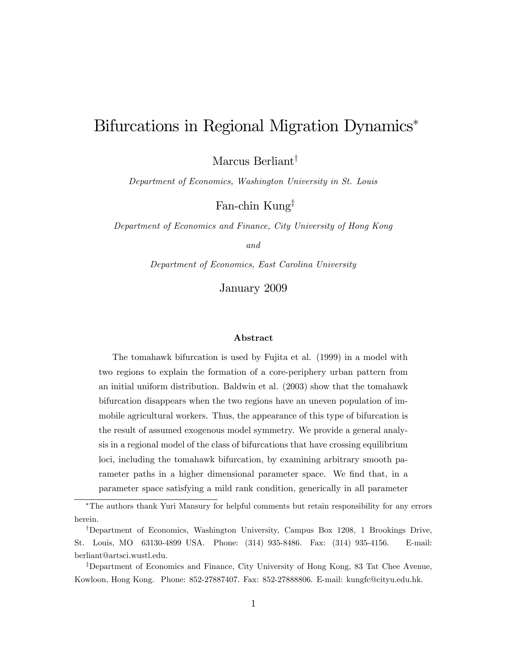## Bifurcations in Regional Migration Dynamics

Marcus Berliant<sup>†</sup>

Department of Economics, Washington University in St. Louis

Fan-chin Kung<sup>‡</sup>

Department of Economics and Finance, City University of Hong Kong

and

Department of Economics, East Carolina University

January 2009

#### Abstract

The tomahawk bifurcation is used by Fujita et al. (1999) in a model with two regions to explain the formation of a core-periphery urban pattern from an initial uniform distribution. Baldwin et al. (2003) show that the tomahawk bifurcation disappears when the two regions have an uneven population of immobile agricultural workers. Thus, the appearance of this type of bifurcation is the result of assumed exogenous model symmetry. We provide a general analysis in a regional model of the class of bifurcations that have crossing equilibrium loci, including the tomahawk bifurcation, by examining arbitrary smooth parameter paths in a higher dimensional parameter space. We find that, in a parameter space satisfying a mild rank condition, generically in all parameter

The authors thank Yuri Mansury for helpful comments but retain responsibility for any errors herein.

<sup>&</sup>lt;sup>†</sup>Department of Economics, Washington University, Campus Box 1208, 1 Brookings Drive, St. Louis, MO 63130-4899 USA. Phone: (314) 935-8486. Fax: (314) 935-4156. E-mail: berliant@artsci.wustl.edu.

<sup>&</sup>lt;sup>‡</sup>Department of Economics and Finance, City University of Hong Kong, 83 Tat Chee Avenue, Kowloon, Hong Kong. Phone: 852-27887407. Fax: 852-27888806. E-mail: kungfc@cityu.edu.hk.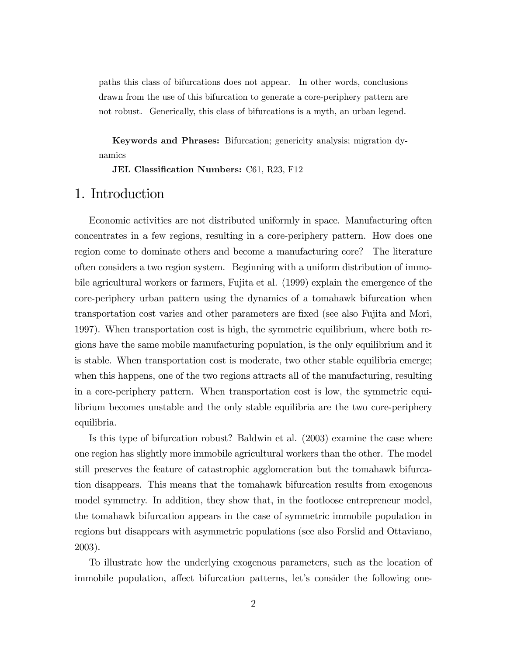paths this class of bifurcations does not appear. In other words, conclusions drawn from the use of this bifurcation to generate a core-periphery pattern are not robust. Generically, this class of bifurcations is a myth, an urban legend.

Keywords and Phrases: Bifurcation; genericity analysis; migration dynamics

JEL Classification Numbers: C61, R23, F12

### 1. Introduction

Economic activities are not distributed uniformly in space. Manufacturing often concentrates in a few regions, resulting in a core-periphery pattern. How does one region come to dominate others and become a manufacturing core? The literature often considers a two region system. Beginning with a uniform distribution of immobile agricultural workers or farmers, Fujita et al. (1999) explain the emergence of the core-periphery urban pattern using the dynamics of a tomahawk bifurcation when transportation cost varies and other parameters are Öxed (see also Fujita and Mori, 1997). When transportation cost is high, the symmetric equilibrium, where both regions have the same mobile manufacturing population, is the only equilibrium and it is stable. When transportation cost is moderate, two other stable equilibria emerge; when this happens, one of the two regions attracts all of the manufacturing, resulting in a core-periphery pattern. When transportation cost is low, the symmetric equilibrium becomes unstable and the only stable equilibria are the two core-periphery equilibria.

Is this type of bifurcation robust? Baldwin et al. (2003) examine the case where one region has slightly more immobile agricultural workers than the other. The model still preserves the feature of catastrophic agglomeration but the tomahawk bifurcation disappears. This means that the tomahawk bifurcation results from exogenous model symmetry. In addition, they show that, in the footloose entrepreneur model, the tomahawk bifurcation appears in the case of symmetric immobile population in regions but disappears with asymmetric populations (see also Forslid and Ottaviano, 2003).

To illustrate how the underlying exogenous parameters, such as the location of immobile population, affect bifurcation patterns, let's consider the following one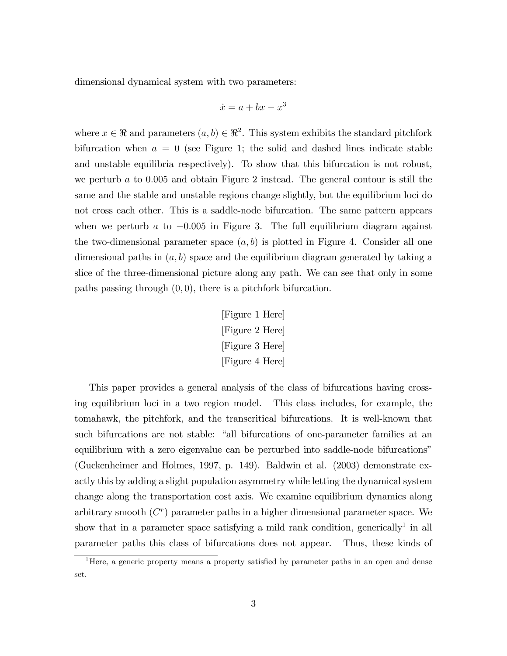dimensional dynamical system with two parameters:

$$
\dot{x} = a + bx - x^3
$$

where  $x \in \Re$  and parameters  $(a, b) \in \Re^2$ . This system exhibits the standard pitchfork bifurcation when  $a = 0$  (see Figure 1; the solid and dashed lines indicate stable and unstable equilibria respectively). To show that this bifurcation is not robust, we perturb  $\alpha$  to 0.005 and obtain Figure 2 instead. The general contour is still the same and the stable and unstable regions change slightly, but the equilibrium loci do not cross each other. This is a saddle-node bifurcation. The same pattern appears when we perturb a to  $-0.005$  in Figure 3. The full equilibrium diagram against the two-dimensional parameter space  $(a, b)$  is plotted in Figure 4. Consider all one dimensional paths in  $(a, b)$  space and the equilibrium diagram generated by taking a slice of the three-dimensional picture along any path. We can see that only in some paths passing through (0; 0), there is a pitchfork bifurcation.

```
[Figure 1 Here]
[Figure 2 Here]
[Figure 3 Here]
[Figure 4 Here]
```
This paper provides a general analysis of the class of bifurcations having crossing equilibrium loci in a two region model. This class includes, for example, the tomahawk, the pitchfork, and the transcritical bifurcations. It is well-known that such bifurcations are not stable: "all bifurcations of one-parameter families at an equilibrium with a zero eigenvalue can be perturbed into saddle-node bifurcations" (Guckenheimer and Holmes, 1997, p. 149). Baldwin et al. (2003) demonstrate exactly this by adding a slight population asymmetry while letting the dynamical system change along the transportation cost axis. We examine equilibrium dynamics along arbitrary smooth  $(C<sup>r</sup>)$  parameter paths in a higher dimensional parameter space. We show that in a parameter space satisfying a mild rank condition, generically<sup>1</sup> in all parameter paths this class of bifurcations does not appear. Thus, these kinds of

<sup>&</sup>lt;sup>1</sup>Here, a generic property means a property satisfied by parameter paths in an open and dense set.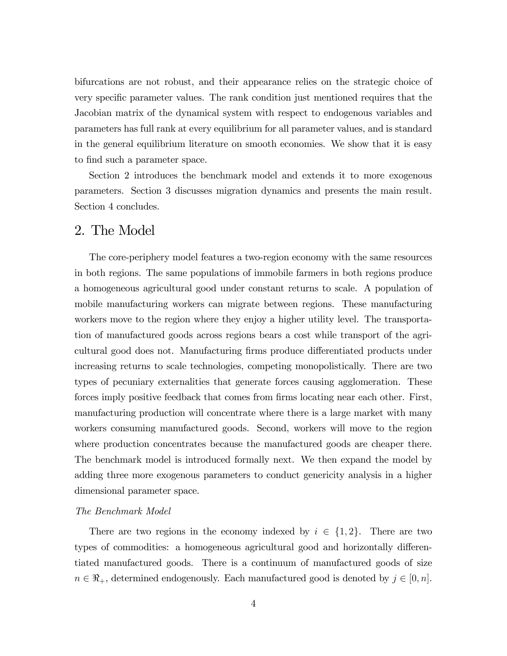bifurcations are not robust, and their appearance relies on the strategic choice of very specific parameter values. The rank condition just mentioned requires that the Jacobian matrix of the dynamical system with respect to endogenous variables and parameters has full rank at every equilibrium for all parameter values, and is standard in the general equilibrium literature on smooth economies. We show that it is easy to find such a parameter space.

Section 2 introduces the benchmark model and extends it to more exogenous parameters. Section 3 discusses migration dynamics and presents the main result. Section 4 concludes.

## 2. The Model

The core-periphery model features a two-region economy with the same resources in both regions. The same populations of immobile farmers in both regions produce a homogeneous agricultural good under constant returns to scale. A population of mobile manufacturing workers can migrate between regions. These manufacturing workers move to the region where they enjoy a higher utility level. The transportation of manufactured goods across regions bears a cost while transport of the agricultural good does not. Manufacturing firms produce differentiated products under increasing returns to scale technologies, competing monopolistically. There are two types of pecuniary externalities that generate forces causing agglomeration. These forces imply positive feedback that comes from firms locating near each other. First, manufacturing production will concentrate where there is a large market with many workers consuming manufactured goods. Second, workers will move to the region where production concentrates because the manufactured goods are cheaper there. The benchmark model is introduced formally next. We then expand the model by adding three more exogenous parameters to conduct genericity analysis in a higher dimensional parameter space.

#### The Benchmark Model

There are two regions in the economy indexed by  $i \in \{1, 2\}$ . There are two types of commodities: a homogeneous agricultural good and horizontally differentiated manufactured goods. There is a continuum of manufactured goods of size  $n \in \mathbb{R}_+$ , determined endogenously. Each manufactured good is denoted by  $j \in [0, n]$ .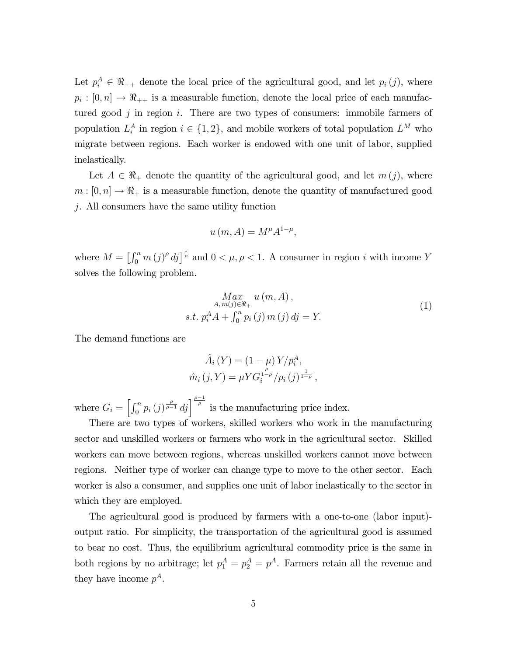Let  $p_i^A \in \mathbb{R}_{++}$  denote the local price of the agricultural good, and let  $p_i(j)$ , where  $p_i: [0, n] \to \Re_{++}$  is a measurable function, denote the local price of each manufactured good  $j$  in region  $i$ . There are two types of consumers: immobile farmers of population  $L_i^A$  in region  $i \in \{1, 2\}$ , and mobile workers of total population  $L^M$  who migrate between regions. Each worker is endowed with one unit of labor, supplied inelastically.

Let  $A \in \mathbb{R}_+$  denote the quantity of the agricultural good, and let  $m(j)$ , where  $m:[0,n]\rightarrow \Re_+$  is a measurable function, denote the quantity of manufactured good j. All consumers have the same utility function

$$
u(m, A) = M^{\mu} A^{1-\mu},
$$

where  $M = \left[\int_0^n m(j)^{\rho} dj\right]^{\frac{1}{\rho}}$  and  $0 < \mu, \rho < 1$ . A consumer in region i with income Y solves the following problem.

$$
\lim_{A, m(j)\in\mathbb{R}_+} u(m, A),
$$
  
s.t.  $p_i^A A + \int_0^n p_i(j) m(j) dj = Y.$  (1)

The demand functions are

$$
\hat{A}_i(Y) = (1 - \mu) Y / p_i^A,
$$
  

$$
\hat{m}_i(j, Y) = \mu Y G_i^{\frac{\rho}{1 - \rho}} / p_i(j)^{\frac{1}{1 - \rho}},
$$

where  $G_i = \left[\int_0^n p_i(j)^{\frac{\rho}{\rho-1}} dj\right]^{\frac{\rho-1}{\rho}}$  $\int$  is the manufacturing price index.

There are two types of workers, skilled workers who work in the manufacturing sector and unskilled workers or farmers who work in the agricultural sector. Skilled workers can move between regions, whereas unskilled workers cannot move between regions. Neither type of worker can change type to move to the other sector. Each worker is also a consumer, and supplies one unit of labor inelastically to the sector in which they are employed.

The agricultural good is produced by farmers with a one-to-one (labor input) output ratio. For simplicity, the transportation of the agricultural good is assumed to bear no cost. Thus, the equilibrium agricultural commodity price is the same in both regions by no arbitrage; let  $p_1^A = p_2^A = p^A$ . Farmers retain all the revenue and they have income  $p^A$ .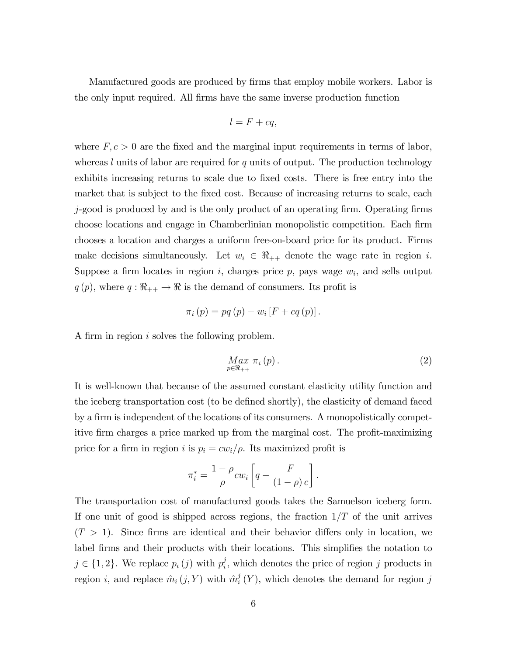Manufactured goods are produced by firms that employ mobile workers. Labor is the only input required. All Örms have the same inverse production function

$$
l = F + cq,
$$

where  $F, c > 0$  are the fixed and the marginal input requirements in terms of labor, whereas l units of labor are required for q units of output. The production technology exhibits increasing returns to scale due to fixed costs. There is free entry into the market that is subject to the fixed cost. Because of increasing returns to scale, each j-good is produced by and is the only product of an operating firm. Operating firms choose locations and engage in Chamberlinian monopolistic competition. Each firm chooses a location and charges a uniform free-on-board price for its product. Firms make decisions simultaneously. Let  $w_i \in \Re_{++}$  denote the wage rate in region i. Suppose a firm locates in region  $i$ , charges price  $p$ , pays wage  $w_i$ , and sells output  $q(p)$ , where  $q : \mathbb{R}_{++} \to \mathbb{R}$  is the demand of consumers. Its profit is

$$
\pi_i(p) = pq(p) - w_i[F + cq(p)].
$$

A firm in region  $i$  solves the following problem.

$$
\underset{p\in\Re_{++}}{\underset{m\in\Im_{++}}{\underset{m\in\Im_{++}}{\underset{m\in\Im_{++}}{\underset{m\in\Im_{++}}{\underset{m\in\Im_{++}}{\underset{m\in\Im_{++}}{\underset{m\in\Im_{++}}{\underset{m\in\Im_{++}}{\underset{m\in\Im_{++}}{\underset{m\in\Im_{++}}{\underset{m\in\Im_{++}}{\underset{m\in\Im_{++}}{\underset{m\in\Im_{++}}{\underset{m\in\Im_{++}}{\underset{m\in\Im_{++}}{\underset{m\in\Im_{++}}{\underset{m\in\Im_{++}}{\underset{m\in\Im_{++}}{\underset{m\in\Im_{++}}{\underset{m\in\Im_{++}}{\underset{m\in\Im_{++}}{\underset{m\in\Im_{++}}{\underset{m\in\Im_{++}}{\underset{m\in\Im_{++}}{\underset{m\in\Im_{++}}{\underset{m\in\Im_{++}}{\underset{m\in\Im_{++}}{\underset{m\in\Im_{++}}{\underset{m\in\Im_{++}}{\underset{m\in\Im_{++}}{\underset{m\in\Im_{++}}{\underset{m\in\Im_{++}}{\underset{m\in\Im_{++}}{\underset{m\in\Im_{++}}{\underset{m\in\Im_{++}}{\underset{m\in\Im_{++}}{\underset{m\in\Im_{++}}{\underset{m\in\Im_{++}}{\underset{m\in\Im_{++}}{\underset{m\in\Im_{++}}{\underset{m\in\Im_{++}}{\underset{m\in\Im_{++}}{\underset{m\in\Im_{++}}{\underset{m\in\Im_{++}}{\underset{m\in\Im_{++}}{\underset{m\in\Im_{++}}{\underset{m\in\Im_{++}}{\underset{m\in\Im_{++}}{\underset{m\in\Im_{++}}{\underset{m\in\Im_{++}}{\underset{m\in\Im_{++}}{\underset{m\in\Im_{++}}{\underset{m\in\Im_{++}}{\underset{m\in\Im_{++}}{\underset{m\in\Im_{++}}{\underset{m\in\Im_{++}}{\underset{m\in\Im_{++}}{\underset{m\in\Im_{++}}{\underset{m\in\Im_{++}}{\underset{m\in\Im_{++}}{\underset{m\in\Im_{++}}{\underset{m\in\Im_{++}}{\underset{
$$

:

It is well-known that because of the assumed constant elasticity utility function and the iceberg transportation cost (to be defined shortly), the elasticity of demand faced by a firm is independent of the locations of its consumers. A monopolistically competitive firm charges a price marked up from the marginal cost. The profit-maximizing price for a firm in region i is  $p_i = cw_i/\rho$ . Its maximized profit is

$$
\pi^*_i = \frac{1-\rho}{\rho}cw_i\left[q-\frac{F}{\left(1-\rho\right)c}\right]
$$

The transportation cost of manufactured goods takes the Samuelson iceberg form. If one unit of good is shipped across regions, the fraction  $1/T$  of the unit arrives  $(T > 1)$ . Since firms are identical and their behavior differs only in location, we label firms and their products with their locations. This simplifies the notation to  $j \in \{1, 2\}$ . We replace  $p_i(j)$  with  $p_i^j$  $i<sub>i</sub>$ , which denotes the price of region j products in region *i*, and replace  $\hat{m}_i (j, Y )$  with  $\hat{m}_i^j$  $i<sup>j</sup>(Y)$ , which denotes the demand for region j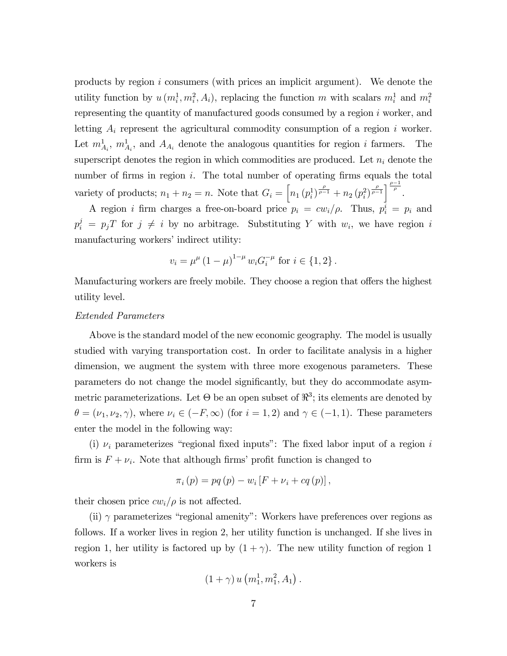products by region i consumers (with prices an implicit argument). We denote the utility function by  $u(m_i^1, m_i^2, A_i)$ , replacing the function m with scalars  $m_i^1$  and  $m_i^2$ representing the quantity of manufactured goods consumed by a region i worker, and letting  $A_i$  represent the agricultural commodity consumption of a region i worker. Let  $m_{A_i}^1$ ,  $m_{A_i}^1$ , and  $A_{A_i}$  denote the analogous quantities for region *i* farmers. The superscript denotes the region in which commodities are produced. Let  $n_i$  denote the number of firms in region  $i$ . The total number of operating firms equals the total variety of products;  $n_1 + n_2 = n$ . Note that  $G_i = \left[ n_1 (p_i^1)^{\frac{\rho}{\rho-1}} + n_2 (p_i^2)^{\frac{\rho}{\rho-1}} \right]^{\frac{\rho-1}{\rho}}$ .

A region *i* firm charges a free-on-board price  $p_i = cw_i/\rho$ . Thus,  $p_i^i = p_i$  and  $p_i^j = p_j T$  for  $j \neq i$  by no arbitrage. Substituting Y with  $w_i$ , we have region i manufacturing workers' indirect utility:

$$
v_i = \mu^{\mu} (1 - \mu)^{1 - \mu} w_i G_i^{-\mu}
$$
 for  $i \in \{1, 2\}$ .

Manufacturing workers are freely mobile. They choose a region that offers the highest utility level.

#### Extended Parameters

Above is the standard model of the new economic geography. The model is usually studied with varying transportation cost. In order to facilitate analysis in a higher dimension, we augment the system with three more exogenous parameters. These parameters do not change the model significantly, but they do accommodate asymmetric parameterizations. Let  $\Theta$  be an open subset of  $\mathbb{R}^3$ ; its elements are denoted by  $\theta = (\nu_1, \nu_2, \gamma)$ , where  $\nu_i \in (-F, \infty)$  (for  $i = 1, 2$ ) and  $\gamma \in (-1, 1)$ . These parameters enter the model in the following way:

(i)  $\nu_i$  parameterizes "regional fixed inputs": The fixed labor input of a region i firm is  $F + \nu_i$ . Note that although firms' profit function is changed to

$$
\pi_{i}(p) = pq(p) - w_{i}[F + \nu_{i} + cq(p)],
$$

their chosen price  $cw_i/\rho$  is not affected.

(ii)  $\gamma$  parameterizes "regional amenity": Workers have preferences over regions as follows. If a worker lives in region 2, her utility function is unchanged. If she lives in region 1, her utility is factored up by  $(1 + \gamma)$ . The new utility function of region 1 workers is

$$
(1+\gamma) u\left(m_1^1, m_1^2, A_1\right).
$$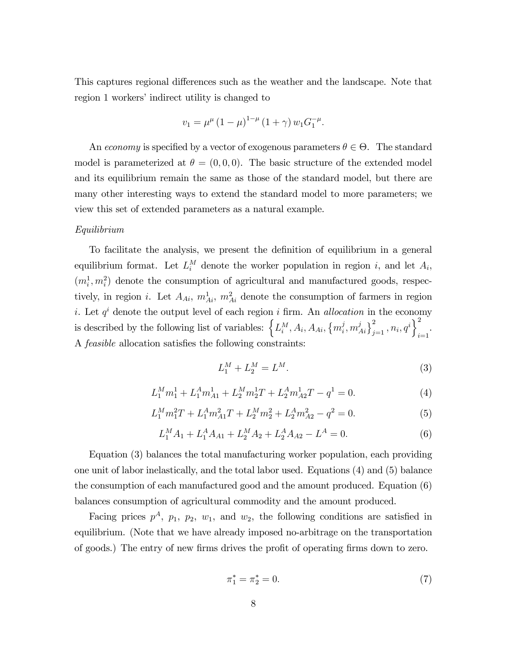This captures regional differences such as the weather and the landscape. Note that region 1 workers' indirect utility is changed to

$$
v_1 = \mu^{\mu} (1 - \mu)^{1 - \mu} (1 + \gamma) w_1 G_1^{-\mu}.
$$

An economy is specified by a vector of exogenous parameters  $\theta \in \Theta$ . The standard model is parameterized at  $\theta = (0, 0, 0)$ . The basic structure of the extended model and its equilibrium remain the same as those of the standard model, but there are many other interesting ways to extend the standard model to more parameters; we view this set of extended parameters as a natural example.

#### Equilibrium

To facilitate the analysis, we present the definition of equilibrium in a general equilibrium format. Let  $L_i^M$  denote the worker population in region i, and let  $A_i$ ,  $(m_i^1, m_i^2)$  denote the consumption of agricultural and manufactured goods, respectively, in region *i*. Let  $A_{Ai}$ ,  $m_{Ai}^1$ ,  $m_{Ai}^2$  denote the consumption of farmers in region *i*. Let  $q<sup>i</sup>$  denote the output level of each region *i* firm. An *allocation* in the economy is described by the following list of variables:  $\left\{L_i^M, A_i, A_{Ai}, \{m_i^j\}$  $\left\{ \vec{p}_{i},m_{Ai}^{j}\right\} _{j=1}^{2},n_{i},q^{i}\bigg\} _{i}^{2},$  $i=1$ A *feasible* allocation satisfies the following constraints:

$$
L_1^M + L_2^M = L^M. \t\t(3)
$$

$$
L_1^M m_1^1 + L_1^A m_{A1}^1 + L_2^M m_2^1 T + L_2^A m_{A2}^1 T - q^1 = 0.
$$
 (4)

$$
L_1^M m_1^2 T + L_1^A m_{A1}^2 T + L_2^M m_2^2 + L_2^A m_{A2}^2 - q^2 = 0.
$$
 (5)

$$
L_1^M A_1 + L_1^A A_{A1} + L_2^M A_2 + L_2^A A_{A2} - L^A = 0.
$$
 (6)

Equation (3) balances the total manufacturing worker population, each providing one unit of labor inelastically, and the total labor used. Equations (4) and (5) balance the consumption of each manufactured good and the amount produced. Equation (6) balances consumption of agricultural commodity and the amount produced.

Facing prices  $p^A$ ,  $p_1$ ,  $p_2$ ,  $w_1$ , and  $w_2$ , the following conditions are satisfied in equilibrium. (Note that we have already imposed no-arbitrage on the transportation of goods.) The entry of new firms drives the profit of operating firms down to zero.

$$
\pi_1^* = \pi_2^* = 0. \tag{7}
$$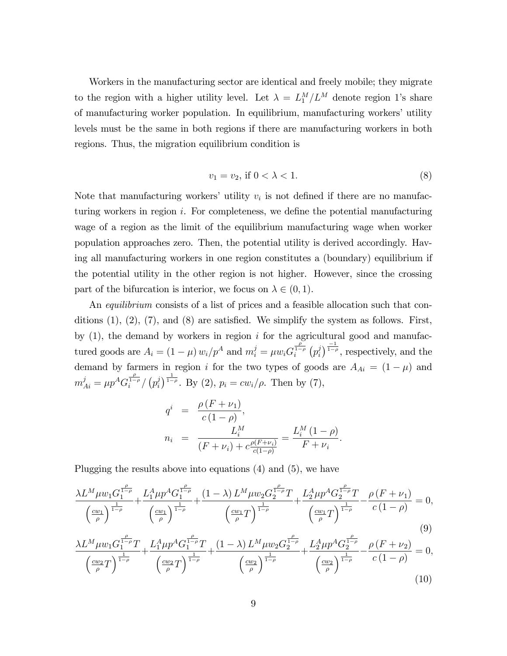Workers in the manufacturing sector are identical and freely mobile; they migrate to the region with a higher utility level. Let  $\lambda = L_1^M/L^M$  denote region 1's share of manufacturing worker population. In equilibrium, manufacturing workers' utility levels must be the same in both regions if there are manufacturing workers in both regions. Thus, the migration equilibrium condition is

$$
v_1 = v_2, \text{ if } 0 < \lambda < 1. \tag{8}
$$

Note that manufacturing workers' utility  $v_i$  is not defined if there are no manufacturing workers in region  $i$ . For completeness, we define the potential manufacturing wage of a region as the limit of the equilibrium manufacturing wage when worker population approaches zero. Then, the potential utility is derived accordingly. Having all manufacturing workers in one region constitutes a (boundary) equilibrium if the potential utility in the other region is not higher. However, since the crossing part of the bifurcation is interior, we focus on  $\lambda \in (0, 1)$ .

An *equilibrium* consists of a list of prices and a feasible allocation such that conditions  $(1), (2), (7),$  and  $(8)$  are satisfied. We simplify the system as follows. First, by  $(1)$ , the demand by workers in region i for the agricultural good and manufactured goods are  $A_i = (1 - \mu) w_i / p^A$  and  $m_i^j = \mu w_i G_i^{\frac{\rho}{1 - \rho}}$  $\overline{\prod\limits_{i=0}^{\frac{p}{1-\rho}}}\left( p_{i}^{j}\right)$  $\int_{i}^{j}$   $\int_{1-\rho}^{-1}$ , respectively, and the demand by farmers in region i for the two types of goods are  $A_{Ai} = (1 - \mu)$  and  $m_{Ai}^{j} = \mu p^{A} G_{i}^{\frac{\rho}{1-\rho}}$  $\frac{1}{i}$   $\frac{1}{i}$   $\left(p_i^j\right)$  $\mu_i^j$   $\frac{1}{1-\rho}$ . By (2),  $p_i = cw_i / \rho$ . Then by (7),

$$
q^{i} = \frac{\rho (F + \nu_{1})}{c (1 - \rho)},
$$
  
\n
$$
n_{i} = \frac{L_{i}^{M}}{(F + \nu_{i}) + c \frac{\rho (F + \nu_{i})}{c (1 - \rho)}} = \frac{L_{i}^{M} (1 - \rho)}{F + \nu_{i}}.
$$

Plugging the results above into equations (4) and (5), we have

$$
\frac{\lambda L^{M} \mu w_{1} G_{1}^{\frac{\rho}{1-\rho}}}{\left(\frac{c w_{1}}{\rho}\right)^{\frac{1}{1-\rho}} + \frac{L_{1}^{A} \mu p^{A} G_{1}^{\frac{\rho}{1-\rho}}}{\left(\frac{c w_{1}}{\rho}\right)^{\frac{1}{1-\rho}} + \frac{(1-\lambda) L^{M} \mu w_{2} G_{2}^{\frac{\rho}{1-\rho}} T}{\left(\frac{c w_{1}}{\rho} T\right)^{\frac{1}{1-\rho}} + \frac{L_{2}^{A} \mu p^{A} G_{2}^{\frac{\rho}{1-\rho}} T}{\left(\frac{c w_{1}}{\rho} T\right)^{\frac{1}{1-\rho}} - \frac{\rho (F + \nu_{1})}{c (1-\rho)}} = 0,
$$
\n(9)

$$
\frac{\lambda L^{M} \mu w_{1} G_{1}^{\frac{\rho}{1-\rho}} T}{\left(\frac{cw_{2}}{\rho} T\right)^{\frac{1}{1-\rho}}} + \frac{L_{1}^{A} \mu p^{A} G_{1}^{\frac{\rho}{1-\rho}} T}{\left(\frac{cw_{2}}{\rho} T\right)^{\frac{1}{1-\rho}}} + \frac{(1-\lambda) L^{M} \mu w_{2} G_{2}^{\frac{\rho}{1-\rho}}}{\left(\frac{cw_{2}}{\rho}\right)^{\frac{1}{1-\rho}}} + \frac{L_{2}^{A} \mu p^{A} G_{2}^{\frac{\rho}{1-\rho}}}{\left(\frac{cw_{2}}{\rho}\right)^{\frac{1}{1-\rho}}} - \frac{\rho \left(F + \nu_{2}\right)}{c \left(1 - \rho\right)} = 0, \tag{10}
$$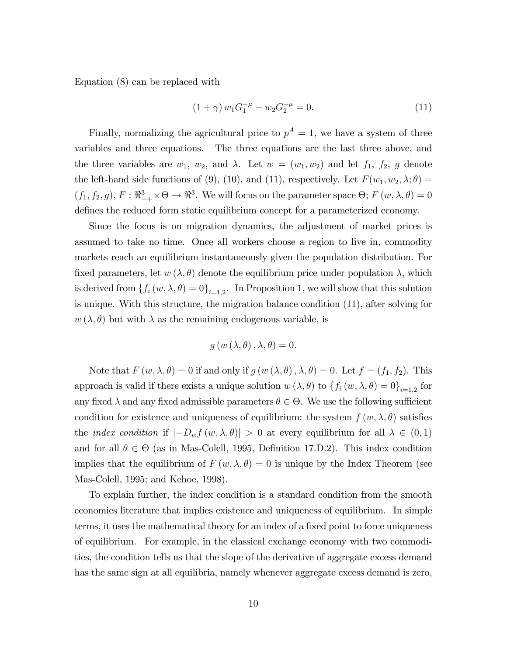Equation (8) can be replaced with

$$
(1+\gamma) w_1 G_1^{-\mu} - w_2 G_2^{-\mu} = 0.
$$
\n(11)

Finally, normalizing the agricultural price to  $p^A = 1$ , we have a system of three variables and three equations. The three equations are the last three above, and the three variables are  $w_1$ ,  $w_2$ , and  $\lambda$ . Let  $w = (w_1, w_2)$  and let  $f_1$ ,  $f_2$ , g denote the left-hand side functions of (9), (10), and (11), respectively. Let  $F(w_1, w_2, \lambda; \theta) =$  $(f_1, f_2, g), F: \mathbb{R}^3_{++} \times \Theta \to \mathbb{R}^3$ . We will focus on the parameter space  $\Theta$ ;  $F(w, \lambda, \theta) = 0$ defines the reduced form static equilibrium concept for a parameterized economy.

Since the focus is on migration dynamics, the adjustment of market prices is assumed to take no time. Once all workers choose a region to live in, commodity markets reach an equilibrium instantaneously given the population distribution. For fixed parameters, let  $w(\lambda, \theta)$  denote the equilibrium price under population  $\lambda$ , which is derived from  $\{f_i(w, \lambda, \theta) = 0\}_{i=1,2}$ . In Proposition 1, we will show that this solution is unique. With this structure, the migration balance condition (11), after solving for  $w(\lambda, \theta)$  but with  $\lambda$  as the remaining endogenous variable, is

$$
g(w(\lambda,\theta),\lambda,\theta)=0.
$$

Note that  $F(w, \lambda, \theta) = 0$  if and only if  $g(w(\lambda, \theta), \lambda, \theta) = 0$ . Let  $f = (f_1, f_2)$ . This approach is valid if there exists a unique solution  $w(\lambda, \theta)$  to  $\{f_i(w, \lambda, \theta) = 0\}_{i=1,2}$  for any fixed  $\lambda$  and any fixed admissible parameters  $\theta \in \Theta$ . We use the following sufficient condition for existence and uniqueness of equilibrium: the system  $f(w, \lambda, \theta)$  satisfies the *index condition* if  $|-D_w f(w, \lambda, \theta)| > 0$  at every equilibrium for all  $\lambda \in (0, 1)$ and for all  $\theta \in \Theta$  (as in Mas-Colell, 1995, Definition 17.D.2). This index condition implies that the equilibrium of  $F(w, \lambda, \theta) = 0$  is unique by the Index Theorem (see Mas-Colell, 1995; and Kehoe, 1998).

To explain further, the index condition is a standard condition from the smooth economies literature that implies existence and uniqueness of equilibrium. In simple terms, it uses the mathematical theory for an index of a fixed point to force uniqueness of equilibrium. For example, in the classical exchange economy with two commodities, the condition tells us that the slope of the derivative of aggregate excess demand has the same sign at all equilibria, namely whenever aggregate excess demand is zero,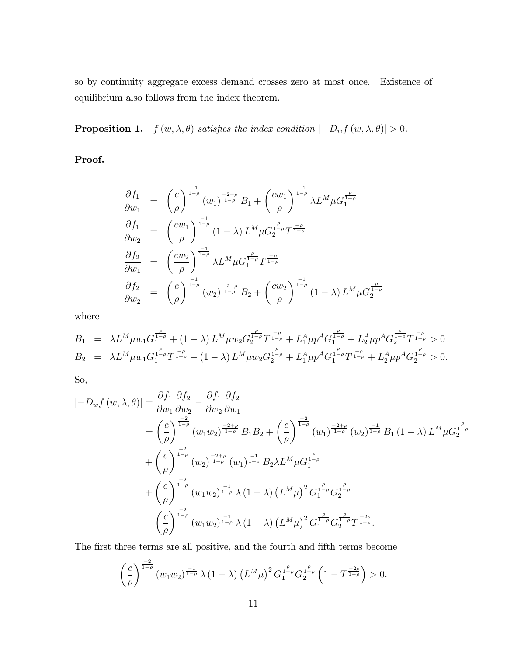so by continuity aggregate excess demand crosses zero at most once. Existence of equilibrium also follows from the index theorem.

**Proposition 1.**  $f(w, \lambda, \theta)$  satisfies the index condition  $|-D_w f(w, \lambda, \theta)| > 0$ .

Proof.

$$
\frac{\partial f_1}{\partial w_1} = \left(\frac{c}{\rho}\right)^{\frac{-1}{1-\rho}} (w_1)^{\frac{-2+\rho}{1-\rho}} B_1 + \left(\frac{cw_1}{\rho}\right)^{\frac{-1}{1-\rho}} \lambda L^M \mu G_1^{\frac{\rho}{1-\rho}}
$$
\n
$$
\frac{\partial f_1}{\partial w_2} = \left(\frac{cw_1}{\rho}\right)^{\frac{-1}{1-\rho}} (1-\lambda) L^M \mu G_2^{\frac{\rho}{1-\rho}} T^{\frac{-\rho}{1-\rho}}
$$
\n
$$
\frac{\partial f_2}{\partial w_1} = \left(\frac{cw_2}{\rho}\right)^{\frac{-1}{1-\rho}} \lambda L^M \mu G_1^{\frac{\rho}{1-\rho}} T^{\frac{-\rho}{1-\rho}}
$$
\n
$$
\frac{\partial f_2}{\partial w_2} = \left(\frac{c}{\rho}\right)^{\frac{-1}{1-\rho}} (w_2)^{\frac{-2+\rho}{1-\rho}} B_2 + \left(\frac{cw_2}{\rho}\right)^{\frac{-1}{1-\rho}} (1-\lambda) L^M \mu G_2^{\frac{\rho}{1-\rho}}
$$

where

$$
B_1 = \lambda L^M \mu w_1 G_1^{\frac{\rho}{1-\rho}} + (1-\lambda) L^M \mu w_2 G_2^{\frac{\rho}{1-\rho}} T^{\frac{-\rho}{1-\rho}} + L_1^A \mu p^A G_1^{\frac{\rho}{1-\rho}} + L_2^A \mu p^A G_2^{\frac{\rho}{1-\rho}} T^{\frac{-\rho}{1-\rho}} > 0
$$
  
\n
$$
B_2 = \lambda L^M \mu w_1 G_1^{\frac{\rho}{1-\rho}} T^{\frac{-\rho}{1-\rho}} + (1-\lambda) L^M \mu w_2 G_2^{\frac{\rho}{1-\rho}} + L_1^A \mu p^A G_1^{\frac{\rho}{1-\rho}} T^{\frac{-\rho}{1-\rho}} + L_2^A \mu p^A G_2^{\frac{\rho}{1-\rho}} > 0.
$$

So,

$$
\begin{split}\n|-D_{w}f(w,\lambda,\theta)| &= \frac{\partial f_{1}}{\partial w_{1}} \frac{\partial f_{2}}{\partial w_{2}} - \frac{\partial f_{1}}{\partial w_{2}} \frac{\partial f_{2}}{\partial w_{1}} \\
&= \left(\frac{c}{\rho}\right)^{\frac{-2}{1-\rho}} (w_{1}w_{2})^{\frac{-2+\rho}{1-\rho}} B_{1}B_{2} + \left(\frac{c}{\rho}\right)^{\frac{-2}{1-\rho}} (w_{1})^{\frac{-2+\rho}{1-\rho}} (w_{2})^{\frac{-1}{1-\rho}} B_{1} (1-\lambda) L^{M} \mu G_{2}^{\frac{\rho}{1-\rho}} \\
&+ \left(\frac{c}{\rho}\right)^{\frac{-2}{1-\rho}} (w_{2})^{\frac{-2+\rho}{1-\rho}} (w_{1})^{\frac{-1}{1-\rho}} B_{2} \lambda L^{M} \mu G_{1}^{\frac{\rho}{1-\rho}} \\
&+ \left(\frac{c}{\rho}\right)^{\frac{-2}{1-\rho}} (w_{1}w_{2})^{\frac{-1}{1-\rho}} \lambda (1-\lambda) \left(L^{M} \mu\right)^{2} G_{1}^{\frac{\rho}{1-\rho}} G_{2}^{\frac{\rho}{1-\rho}} \\
&- \left(\frac{c}{\rho}\right)^{\frac{-2}{1-\rho}} (w_{1}w_{2})^{\frac{-1}{1-\rho}} \lambda (1-\lambda) \left(L^{M} \mu\right)^{2} G_{1}^{\frac{\rho}{1-\rho}} G_{2}^{\frac{\rho}{1-\rho}} T^{\frac{-2\rho}{1-\rho}}.\n\end{split}
$$

The first three terms are all positive, and the fourth and fifth terms become

$$
\left(\frac{c}{\rho}\right)^{\frac{-2}{1-\rho}} (w_1 w_2)^{\frac{-1}{1-\rho}} \lambda (1-\lambda) \left(L^M \mu\right)^2 G_1^{\frac{\rho}{1-\rho}} G_2^{\frac{\rho}{1-\rho}} \left(1 - T^{\frac{-2\rho}{1-\rho}}\right) > 0.
$$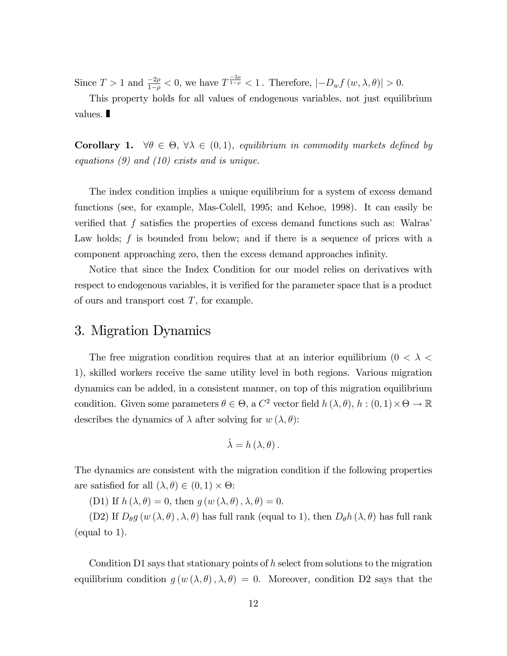Since  $T > 1$  and  $\frac{-2\rho}{1-\rho} < 0$ , we have  $T^{\frac{-2\rho}{1-\rho}} < 1$ . Therefore,  $|-D_w f(w, \lambda, \theta)| > 0$ .

This property holds for all values of endogenous variables, not just equilibrium values.

**Corollary 1.**  $\forall \theta \in \Theta$ ,  $\forall \lambda \in (0,1)$ , equilibrium in commodity markets defined by equations (9) and (10) exists and is unique.

The index condition implies a unique equilibrium for a system of excess demand functions (see, for example, Mas-Colell, 1995; and Kehoe, 1998). It can easily be verified that  $f$  satisfies the properties of excess demand functions such as: Walras' Law holds;  $f$  is bounded from below; and if there is a sequence of prices with a component approaching zero, then the excess demand approaches infinity.

Notice that since the Index Condition for our model relies on derivatives with respect to endogenous variables, it is verified for the parameter space that is a product of ours and transport cost  $T$ , for example.

## 3. Migration Dynamics

The free migration condition requires that at an interior equilibrium ( $0 < \lambda <$ 1), skilled workers receive the same utility level in both regions. Various migration dynamics can be added, in a consistent manner, on top of this migration equilibrium condition. Given some parameters  $\theta \in \Theta$ , a  $C^2$  vector field  $h(\lambda, \theta)$ ,  $h : (0, 1) \times \Theta \to \mathbb{R}$ describes the dynamics of  $\lambda$  after solving for  $w(\lambda, \theta)$ :

$$
\dot{\lambda}=h\left( \lambda,\theta\right) .
$$

The dynamics are consistent with the migration condition if the following properties are satisfied for all  $(\lambda, \theta) \in (0, 1) \times \Theta$ :

(D1) If  $h(\lambda, \theta) = 0$ , then  $g(w(\lambda, \theta), \lambda, \theta) = 0$ .

(D2) If  $D_{\theta}g(w(\lambda,\theta),\lambda,\theta)$  has full rank (equal to 1), then  $D_{\theta}h(\lambda,\theta)$  has full rank (equal to 1).

Condition D1 says that stationary points of  $h$  select from solutions to the migration equilibrium condition  $g(w(\lambda, \theta), \lambda, \theta) = 0$ . Moreover, condition D2 says that the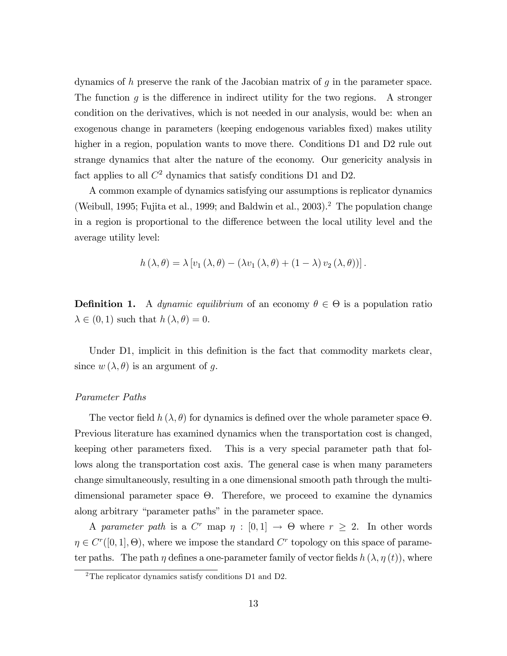dynamics of h preserve the rank of the Jacobian matrix of g in the parameter space. The function g is the difference in indirect utility for the two regions. A stronger condition on the derivatives, which is not needed in our analysis, would be: when an exogenous change in parameters (keeping endogenous variables fixed) makes utility higher in a region, population wants to move there. Conditions D1 and D2 rule out strange dynamics that alter the nature of the economy. Our genericity analysis in fact applies to all  $C^2$  dynamics that satisfy conditions D1 and D2.

A common example of dynamics satisfying our assumptions is replicator dynamics (Weibull, 1995; Fujita et al., 1999; and Baldwin et al., 2003).<sup>2</sup> The population change in a region is proportional to the difference between the local utility level and the average utility level:

$$
h(\lambda, \theta) = \lambda \left[ v_1(\lambda, \theta) - (\lambda v_1(\lambda, \theta) + (1 - \lambda) v_2(\lambda, \theta)) \right].
$$

**Definition 1.** A *dynamic equilibrium* of an economy  $\theta \in \Theta$  is a population ratio  $\lambda \in (0, 1)$  such that  $h(\lambda, \theta) = 0$ .

Under D1, implicit in this definition is the fact that commodity markets clear, since  $w(\lambda, \theta)$  is an argument of g.

#### Parameter Paths

The vector field  $h(\lambda, \theta)$  for dynamics is defined over the whole parameter space  $\Theta$ . Previous literature has examined dynamics when the transportation cost is changed, keeping other parameters Öxed. This is a very special parameter path that follows along the transportation cost axis. The general case is when many parameters change simultaneously, resulting in a one dimensional smooth path through the multidimensional parameter space  $\Theta$ . Therefore, we proceed to examine the dynamics along arbitrary "parameter paths" in the parameter space.

A parameter path is a  $C^r$  map  $\eta : [0,1] \to \Theta$  where  $r \geq 2$ . In other words  $\eta \in C^r([0,1], \Theta)$ , where we impose the standard  $C^r$  topology on this space of parameter paths. The path  $\eta$  defines a one-parameter family of vector fields  $h(\lambda, \eta(t))$ , where

 $2$ The replicator dynamics satisfy conditions D1 and D2.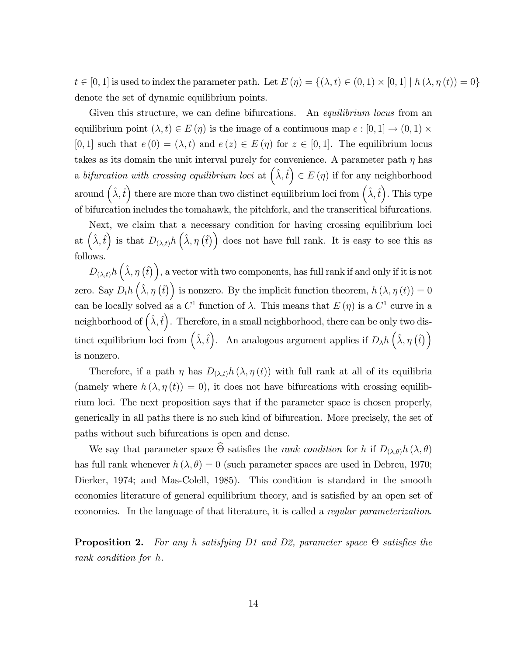$t \in [0, 1]$  is used to index the parameter path. Let  $E(\eta) = \{(\lambda, t) \in (0, 1) \times [0, 1] \mid h(\lambda, \eta(t)) = 0\}$ denote the set of dynamic equilibrium points.

Given this structure, we can define bifurcations. An *equilibrium locus* from an equilibrium point  $(\lambda, t) \in E(\eta)$  is the image of a continuous map  $e : [0, 1] \to (0, 1) \times$ [0, 1] such that  $e(0) = (\lambda, t)$  and  $e(z) \in E(\eta)$  for  $z \in [0, 1]$ . The equilibrium locus takes as its domain the unit interval purely for convenience. A parameter path  $\eta$  has a bifurcation with crossing equilibrium loci at  $(\hat{\lambda}, \hat{t}) \in E(\eta)$  if for any neighborhood around  $(\hat{\lambda}, \hat{t})$  there are more than two distinct equilibrium loci from  $(\hat{\lambda}, \hat{t})$ . This type of bifurcation includes the tomahawk, the pitchfork, and the transcritical bifurcations.

Next, we claim that a necessary condition for having crossing equilibrium loci at  $(\hat{\lambda}, \hat{t})$  is that  $D_{(\lambda,t)}h(\hat{\lambda}, \eta(\hat{t}))$  does not have full rank. It is easy to see this as follows.

 $D_{(\lambda,t)}h\left(\hat{\lambda},\eta\left(\hat{t}\right)\right)$ , a vector with two components, has full rank if and only if it is not zero. Say  $D_t h\left(\hat{\lambda}, \eta\left(\hat{t}\right)\right)$  is nonzero. By the implicit function theorem,  $h\left(\lambda, \eta\left(t\right)\right) = 0$ can be locally solved as a  $C^1$  function of  $\lambda$ . This means that  $E(\eta)$  is a  $C^1$  curve in a neighborhood of  $(\hat{\lambda}, \hat{t})$ . Therefore, in a small neighborhood, there can be only two distinct equilibrium loci from  $(\hat{\lambda}, \hat{t})$ . An analogous argument applies if  $D_{\lambda} h(\hat{\lambda}, \eta(\hat{t}))$ is nonzero.

Therefore, if a path  $\eta$  has  $D_{(\lambda,t)}h(\lambda, \eta(t))$  with full rank at all of its equilibria (namely where  $h(\lambda, \eta(t)) = 0$ ), it does not have bifurcations with crossing equilibrium loci. The next proposition says that if the parameter space is chosen properly, generically in all paths there is no such kind of bifurcation. More precisely, the set of paths without such bifurcations is open and dense.

We say that parameter space  $\Theta$  satisfies the *rank condition* for h if  $D_{(\lambda,\theta)}h(\lambda,\theta)$ has full rank whenever  $h(\lambda, \theta) = 0$  (such parameter spaces are used in Debreu, 1970; Dierker, 1974; and Mas-Colell, 1985). This condition is standard in the smooth economies literature of general equilibrium theory, and is satisfied by an open set of economies. In the language of that literature, it is called a *regular parameterization*.

**Proposition 2.** For any h satisfying D1 and D2, parameter space  $\Theta$  satisfies the rank condition for h.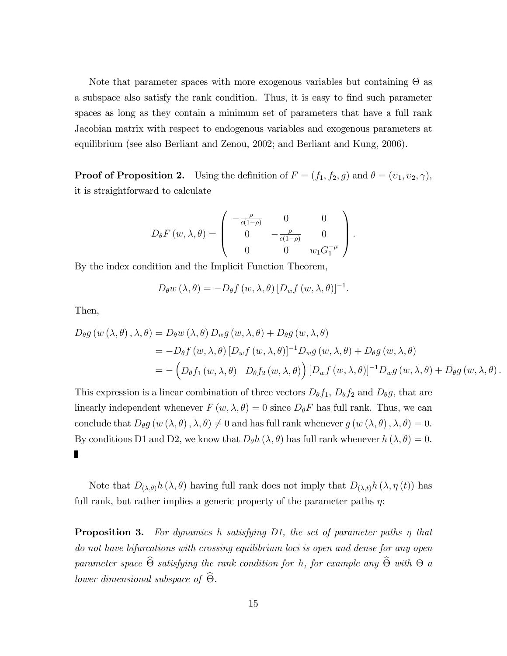Note that parameter spaces with more exogenous variables but containing  $\Theta$  as a subspace also satisfy the rank condition. Thus, it is easy to find such parameter spaces as long as they contain a minimum set of parameters that have a full rank Jacobian matrix with respect to endogenous variables and exogenous parameters at equilibrium (see also Berliant and Zenou, 2002; and Berliant and Kung, 2006).

**Proof of Proposition 2.** Using the definition of  $F = (f_1, f_2, g)$  and  $\theta = (v_1, v_2, \gamma)$ , it is straightforward to calculate

$$
D_{\theta}F(w,\lambda,\theta) = \begin{pmatrix} -\frac{\rho}{c(1-\rho)} & 0 & 0 \\ 0 & -\frac{\rho}{c(1-\rho)} & 0 \\ 0 & 0 & w_1G_1^{-\mu} \end{pmatrix}.
$$

By the index condition and the Implicit Function Theorem,

$$
D_{\theta} w \left( \lambda, \theta \right) = -D_{\theta} f \left( w, \lambda, \theta \right) [D_{w} f \left( w, \lambda, \theta \right)]^{-1}.
$$

Then,

$$
D_{\theta}g(w(\lambda,\theta),\lambda,\theta) = D_{\theta}w(\lambda,\theta) D_{w}g(w,\lambda,\theta) + D_{\theta}g(w,\lambda,\theta)
$$
  
=  $-D_{\theta}f(w,\lambda,\theta)[D_{w}f(w,\lambda,\theta)]^{-1}D_{w}g(w,\lambda,\theta) + D_{\theta}g(w,\lambda,\theta)$   
=  $- (D_{\theta}f_1(w,\lambda,\theta) D_{\theta}f_2(w,\lambda,\theta))[D_{w}f(w,\lambda,\theta)]^{-1}D_{w}g(w,\lambda,\theta) + D_{\theta}g(w,\lambda,\theta).$ 

This expression is a linear combination of three vectors  $D_{\theta}f_1$ ,  $D_{\theta}f_2$  and  $D_{\theta}g$ , that are linearly independent whenever  $F(w, \lambda, \theta) = 0$  since  $D_{\theta}F$  has full rank. Thus, we can conclude that  $D_{\theta} g(w(\lambda, \theta), \lambda, \theta) \neq 0$  and has full rank whenever  $g(w(\lambda, \theta), \lambda, \theta) = 0$ . By conditions D1 and D2, we know that  $D_{\theta}h(\lambda, \theta)$  has full rank whenever  $h(\lambda, \theta) = 0$ . Π

Note that  $D_{(\lambda,\theta)}h(\lambda,\theta)$  having full rank does not imply that  $D_{(\lambda,t)}h(\lambda,\eta(t))$  has full rank, but rather implies a generic property of the parameter paths  $\eta$ :

**Proposition 3.** For dynamics h satisfying D1, the set of parameter paths  $\eta$  that do not have bifurcations with crossing equilibrium loci is open and dense for any open parameter space  $\Theta$  satisfying the rank condition for h, for example any  $\Theta$  with  $\Theta$  a lower dimensional subspace of  $\Theta$ .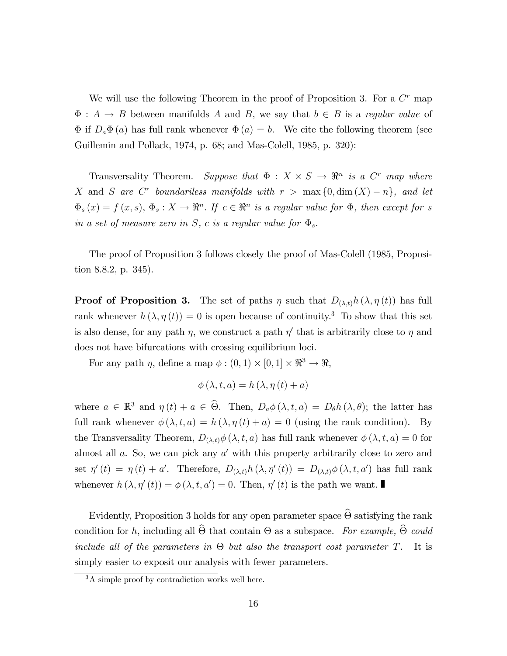We will use the following Theorem in the proof of Proposition 3. For a  $C<sup>r</sup>$  map  $\Phi: A \to B$  between manifolds A and B, we say that  $b \in B$  is a regular value of  $\Phi$  if  $D_a \Phi(a)$  has full rank whenever  $\Phi(a) = b$ . We cite the following theorem (see Guillemin and Pollack, 1974, p. 68; and Mas-Colell, 1985, p. 320):

Transversality Theorem. Suppose that  $\Phi : X \times S \to \mathbb{R}^n$  is a C<sup>r</sup> map where X and S are C<sup>r</sup> boundariless manifolds with  $r > \max\{0, \dim(X) - n\}$ , and let  $\Phi_s(x) = f(x, s), \Phi_s: X \to \mathbb{R}^n$ . If  $c \in \mathbb{R}^n$  is a regular value for  $\Phi$ , then except for s in a set of measure zero in S, c is a regular value for  $\Phi_s$ .

The proof of Proposition 3 follows closely the proof of Mas-Colell (1985, Proposition 8.8.2, p. 345).

**Proof of Proposition 3.** The set of paths  $\eta$  such that  $D_{(\lambda,t)}h(\lambda, \eta(t))$  has full rank whenever  $h(\lambda, \eta(t)) = 0$  is open because of continuity.<sup>3</sup> To show that this set is also dense, for any path  $\eta$ , we construct a path  $\eta'$  that is arbitrarily close to  $\eta$  and does not have bifurcations with crossing equilibrium loci.

For any path  $\eta$ , define a map  $\phi : (0,1) \times [0,1] \times \mathbb{R}^3 \to \mathbb{R}$ ,

$$
\phi(\lambda, t, a) = h(\lambda, \eta(t) + a)
$$

where  $a \in \mathbb{R}^3$  and  $\eta(t) + a \in \widehat{\Theta}$ . Then,  $D_a \phi(\lambda, t, a) = D_\theta h(\lambda, \theta)$ ; the latter has full rank whenever  $\phi(\lambda, t, a) = h(\lambda, \eta(t) + a) = 0$  (using the rank condition). By the Transversality Theorem,  $D_{(\lambda,t)}\phi(\lambda,t,a)$  has full rank whenever  $\phi(\lambda,t,a) = 0$  for almost all  $a$ . So, we can pick any  $a'$  with this property arbitrarily close to zero and set  $\eta'(t) = \eta(t) + a'$ . Therefore,  $D_{(\lambda,t)} h(\lambda, \eta'(t)) = D_{(\lambda,t)} \phi(\lambda, t, a')$  has full rank whenever  $h(\lambda, \eta'(t)) = \phi(\lambda, t, a') = 0$ . Then,  $\eta'(t)$  is the path we want.

Evidently, Proposition 3 holds for any open parameter space  $\Theta$  satisfying the rank condition for h, including all  $\Theta$  that contain  $\Theta$  as a subspace. For example,  $\Theta$  could include all of the parameters in  $\Theta$  but also the transport cost parameter T. It is simply easier to exposit our analysis with fewer parameters.

<sup>&</sup>lt;sup>3</sup>A simple proof by contradiction works well here.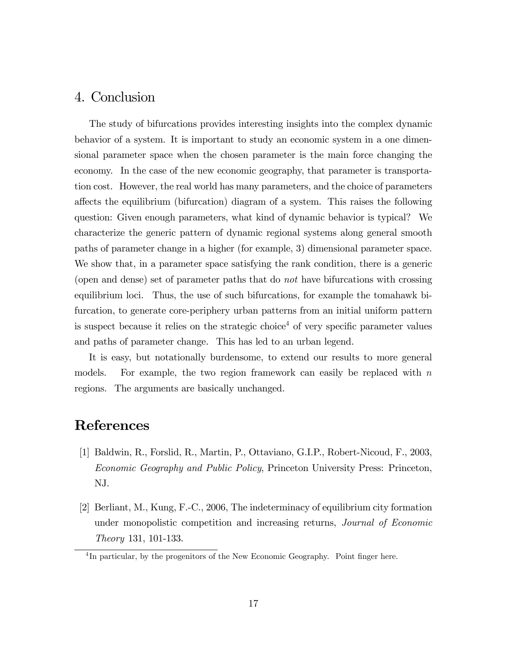## 4. Conclusion

The study of bifurcations provides interesting insights into the complex dynamic behavior of a system. It is important to study an economic system in a one dimensional parameter space when the chosen parameter is the main force changing the economy. In the case of the new economic geography, that parameter is transportation cost. However, the real world has many parameters, and the choice of parameters a§ects the equilibrium (bifurcation) diagram of a system. This raises the following question: Given enough parameters, what kind of dynamic behavior is typical? We characterize the generic pattern of dynamic regional systems along general smooth paths of parameter change in a higher (for example, 3) dimensional parameter space. We show that, in a parameter space satisfying the rank condition, there is a generic (open and dense) set of parameter paths that do not have bifurcations with crossing equilibrium loci. Thus, the use of such bifurcations, for example the tomahawk bifurcation, to generate core-periphery urban patterns from an initial uniform pattern is suspect because it relies on the strategic choice<sup>4</sup> of very specific parameter values and paths of parameter change. This has led to an urban legend.

It is easy, but notationally burdensome, to extend our results to more general models. For example, the two region framework can easily be replaced with  $n$ regions. The arguments are basically unchanged.

## References

- [1] Baldwin, R., Forslid, R., Martin, P., Ottaviano, G.I.P., Robert-Nicoud, F., 2003, Economic Geography and Public Policy, Princeton University Press: Princeton, NJ.
- [2] Berliant, M., Kung, F.-C., 2006, The indeterminacy of equilibrium city formation under monopolistic competition and increasing returns, *Journal of Economic* Theory 131, 101-133.

<sup>&</sup>lt;sup>4</sup>In particular, by the progenitors of the New Economic Geography. Point finger here.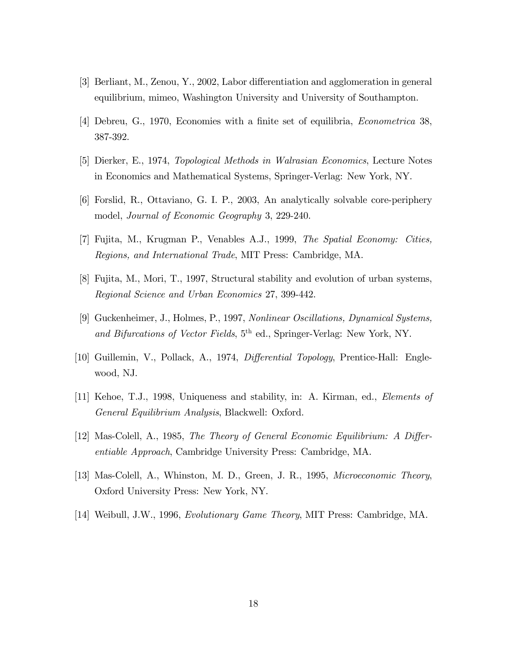- [3] Berliant, M., Zenou, Y., 2002, Labor differentiation and agglomeration in general equilibrium, mimeo, Washington University and University of Southampton.
- [4] Debreu, G., 1970, Economies with a finite set of equilibria, *Econometrica* 38, 387-392.
- [5] Dierker, E., 1974, Topological Methods in Walrasian Economics, Lecture Notes in Economics and Mathematical Systems, Springer-Verlag: New York, NY.
- [6] Forslid, R., Ottaviano, G. I. P., 2003, An analytically solvable core-periphery model, Journal of Economic Geography 3, 229-240.
- [7] Fujita, M., Krugman P., Venables A.J., 1999, The Spatial Economy: Cities, Regions, and International Trade, MIT Press: Cambridge, MA.
- [8] Fujita, M., Mori, T., 1997, Structural stability and evolution of urban systems, Regional Science and Urban Economics 27, 399-442.
- [9] Guckenheimer, J., Holmes, P., 1997, Nonlinear Oscillations, Dynamical Systems, and Bifurcations of Vector Fields, 5<sup>th</sup> ed., Springer-Verlag: New York, NY.
- [10] Guillemin, V., Pollack, A., 1974, *Differential Topology*, Prentice-Hall: Englewood, NJ.
- [11] Kehoe, T.J., 1998, Uniqueness and stability, in: A. Kirman, ed., Elements of General Equilibrium Analysis, Blackwell: Oxford.
- $[12]$  Mas-Colell, A., 1985, The Theory of General Economic Equilibrium: A Differentiable Approach, Cambridge University Press: Cambridge, MA.
- [13] Mas-Colell, A., Whinston, M. D., Green, J. R., 1995, Microeconomic Theory, Oxford University Press: New York, NY.
- [14] Weibull, J.W., 1996, Evolutionary Game Theory, MIT Press: Cambridge, MA.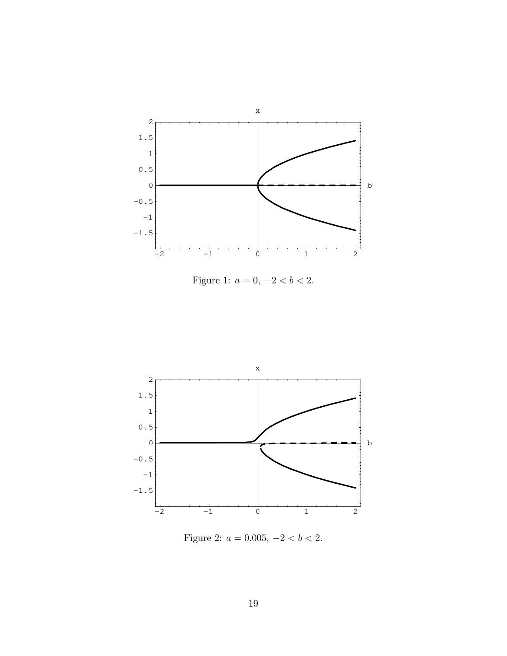

Figure 1:  $a = 0, -2 < b < 2$ .



Figure 2:  $a = 0.005, -2 < b < 2$ .